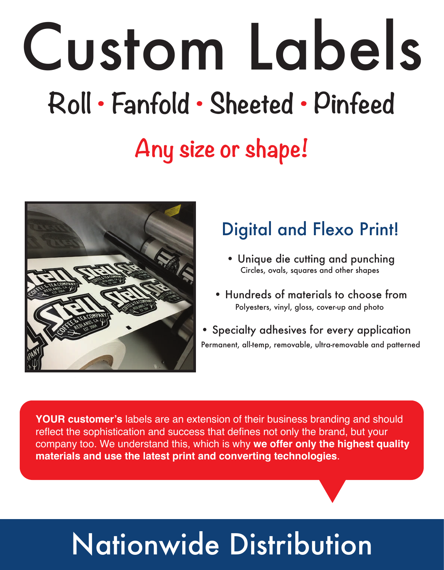# Custom Labels **Roll • Fanfold • Sheeted • Pinfeed Any size or shape!**



#### Digital and Flexo Print!

- Unique die cutting and punching Circles, ovals, squares and other shapes
- Hundreds of materials to choose from Polyesters, vinyl, gloss, cover-up and photo
- Specialty adhesives for every application Permanent, all-temp, removable, ultra-removable and patterned

**YOUR customer's** labels are an extension of their business branding and should reflect the sophistication and success that defines not only the brand, but your company too. We understand this, which is why **we offer only the highest quality materials and use the latest print and converting technologies**.

### Nationwide Distribution